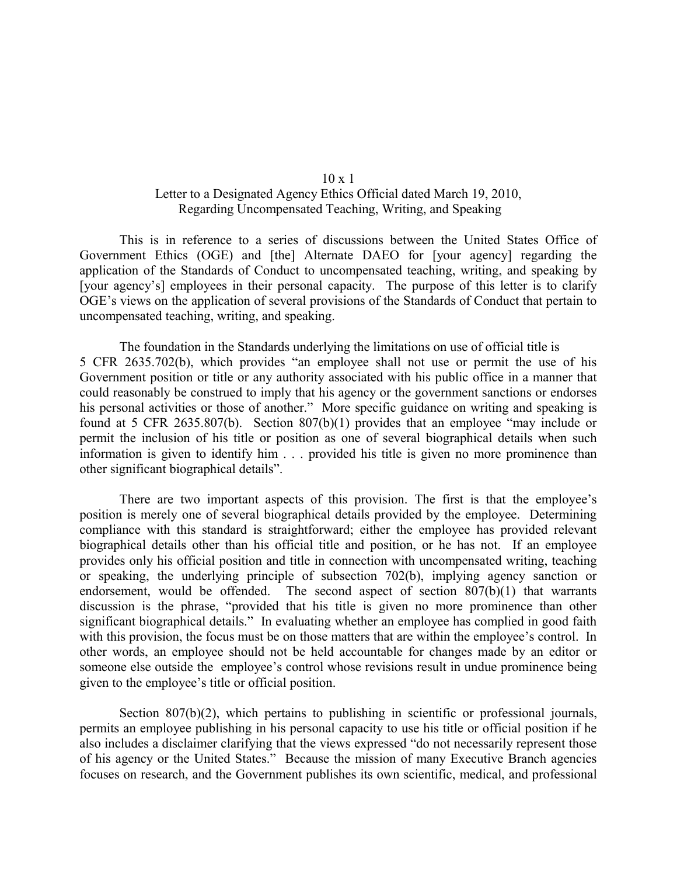## 10 x 1

## Letter to a Designated Agency Ethics Official dated March 19, 2010, Regarding Uncompensated Teaching, Writing, and Speaking

This is in reference to a series of discussions between the United States Office of Government Ethics (OGE) and [the] Alternate DAEO for [your agency] regarding the application of the Standards of Conduct to uncompensated teaching, writing, and speaking by [your agency's] employees in their personal capacity. The purpose of this letter is to clarify OGE's views on the application of several provisions of the Standards of Conduct that pertain to uncompensated teaching, writing, and speaking.

The foundation in the Standards underlying the limitations on use of official title is 5 CFR 2635.702(b), which provides "an employee shall not use or permit the use of his Government position or title or any authority associated with his public office in a manner that could reasonably be construed to imply that his agency or the government sanctions or endorses his personal activities or those of another." More specific guidance on writing and speaking is found at 5 CFR 2635.807(b). Section 807(b)(1) provides that an employee "may include or permit the inclusion of his title or position as one of several biographical details when such information is given to identify him . . . provided his title is given no more prominence than other significant biographical details".

There are two important aspects of this provision. The first is that the employee's position is merely one of several biographical details provided by the employee. Determining compliance with this standard is straightforward; either the employee has provided relevant biographical details other than his official title and position, or he has not. If an employee provides only his official position and title in connection with uncompensated writing, teaching or speaking, the underlying principle of subsection 702(b), implying agency sanction or endorsement, would be offended. The second aspect of section 807(b)(1) that warrants discussion is the phrase, "provided that his title is given no more prominence than other significant biographical details." In evaluating whether an employee has complied in good faith with this provision, the focus must be on those matters that are within the employee's control. In other words, an employee should not be held accountable for changes made by an editor or someone else outside the employee's control whose revisions result in undue prominence being given to the employee's title or official position.

Section 807(b)(2), which pertains to publishing in scientific or professional journals, permits an employee publishing in his personal capacity to use his title or official position if he also includes a disclaimer clarifying that the views expressed "do not necessarily represent those of his agency or the United States." Because the mission of many Executive Branch agencies focuses on research, and the Government publishes its own scientific, medical, and professional